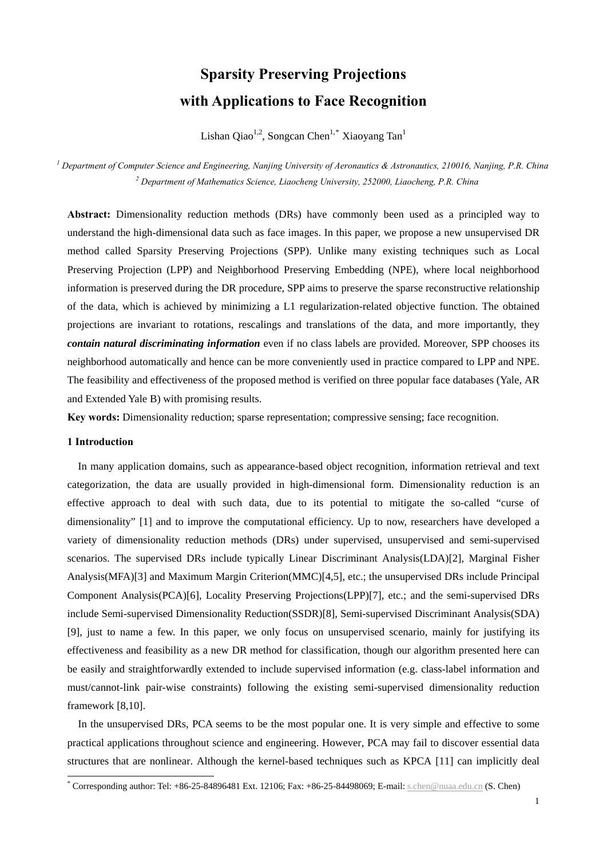# **Sparsity Preserving Projections with Applications to Face Recognition**

Lishan Qiao<sup>1,2</sup>, Songcan Chen<sup>1,[\\*](#page-0-0)</sup> Xiaoyang Tan<sup>1</sup>

*1 Department of Computer Science and Engineering, Nanjing University of Aeronautics & Astronautics, 210016, Nanjing, P.R. China*  <sup>2</sup> Department of Mathematics Science, Liaocheng University, 252000, Liaocheng, P.R. China

**Abstract:** Dimensionality reduction methods (DRs) have commonly been used as a principled way to understand the high-dimensional data such as face images. In this paper, we propose a new unsupervised DR method called Sparsity Preserving Projections (SPP). Unlike many existing techniques such as Local Preserving Projection (LPP) and Neighborhood Preserving Embedding (NPE), where local neighborhood information is preserved during the DR procedure, SPP aims to preserve the sparse reconstructive relationship of the data, which is achieved by minimizing a L1 regularization-related objective function. The obtained projections are invariant to rotations, rescalings and translations of the data, and more importantly, they *contain natural discriminating information* even if no class labels are provided. Moreover, SPP chooses its neighborhood automatically and hence can be more conveniently used in practice compared to LPP and NPE. The feasibility and effectiveness of the proposed method is verified on three popular face databases (Yale, AR and Extended Yale B) with promising results.

**Key words:** Dimensionality reduction; sparse representation; compressive sensing; face recognition.

# **1 Introduction**

<u>.</u>

In many application domains, such as appearance-based object recognition, information retrieval and text categorization, the data are usually provided in high-dimensional form. Dimensionality reduction is an effective approach to deal with such data, due to its potential to mitigate the so-called "curse of dimensionality" [1] and to improve the computational efficiency. Up to now, researchers have developed a variety of dimensionality reduction methods (DRs) under supervised, unsupervised and semi-supervised scenarios. The supervised DRs include typically Linear Discriminant Analysis(LDA)[2], Marginal Fisher Analysis(MFA)[3] and Maximum Margin Criterion(MMC)[4,5], etc.; the unsupervised DRs include Principal Component Analysis(PCA)[6], Locality Preserving Projections(LPP)[7], etc.; and the semi-supervised DRs include Semi-supervised Dimensionality Reduction(SSDR)[8], Semi-supervised Discriminant Analysis(SDA) [9], just to name a few. In this paper, we only focus on unsupervised scenario, mainly for justifying its effectiveness and feasibility as a new DR method for classification, though our algorithm presented here can be easily and straightforwardly extended to include supervised information (e.g. class-label information and must/cannot-link pair-wise constraints) following the existing semi-supervised dimensionality reduction framework [8,10].

In the unsupervised DRs, PCA seems to be the most popular one. It is very simple and effective to some practical applications throughout science and engineering. However, PCA may fail to discover essential data structures that are nonlinear. Although the kernel-based techniques such as KPCA [11] can implicitly deal

<span id="page-0-0"></span><sup>\*</sup> Corresponding author: Tel: +86-25-84896481 Ext. 12106; Fax: +86-25-84498069; E-mail: [s.chen@nuaa.edu.cn](mailto:s.chen@nuaa.edu.cn) (S. Chen)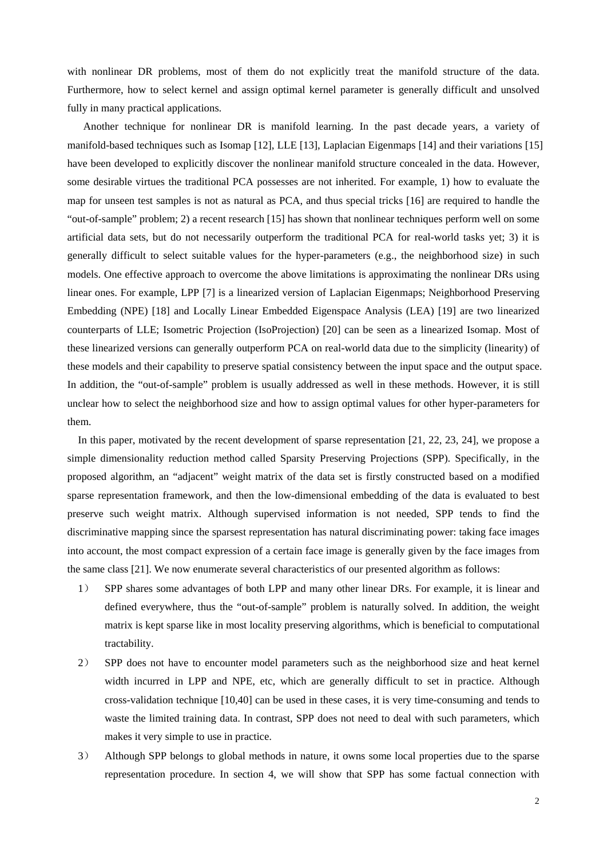with nonlinear DR problems, most of them do not explicitly treat the manifold structure of the data. Furthermore, how to select kernel and assign optimal kernel parameter is generally difficult and unsolved fully in many practical applications.

 Another technique for nonlinear DR is manifold learning. In the past decade years, a variety of manifold-based techniques such as Isomap [12], LLE [13], Laplacian Eigenmaps [14] and their variations [15] have been developed to explicitly discover the nonlinear manifold structure concealed in the data. However, some desirable virtues the traditional PCA possesses are not inherited. For example, 1) how to evaluate the map for unseen test samples is not as natural as PCA, and thus special tricks [16] are required to handle the "out-of-sample" problem; 2) a recent research [15] has shown that nonlinear techniques perform well on some artificial data sets, but do not necessarily outperform the traditional PCA for real-world tasks yet; 3) it is generally difficult to select suitable values for the hyper-parameters (e.g., the neighborhood size) in such models. One effective approach to overcome the above limitations is approximating the nonlinear DRs using linear ones. For example, LPP [7] is a linearized version of Laplacian Eigenmaps; Neighborhood Preserving Embedding (NPE) [18] and Locally Linear Embedded Eigenspace Analysis (LEA) [19] are two linearized counterparts of LLE; Isometric Projection (IsoProjection) [20] can be seen as a linearized Isomap. Most of these linearized versions can generally outperform PCA on real-world data due to the simplicity (linearity) of these models and their capability to preserve spatial consistency between the input space and the output space. In addition, the "out-of-sample" problem is usually addressed as well in these methods. However, it is still unclear how to select the neighborhood size and how to assign optimal values for other hyper-parameters for them.

In this paper, motivated by the recent development of sparse representation [21, 22, 23, 24], we propose a simple dimensionality reduction method called Sparsity Preserving Projections (SPP). Specifically, in the proposed algorithm, an "adjacent" weight matrix of the data set is firstly constructed based on a modified sparse representation framework, and then the low-dimensional embedding of the data is evaluated to best preserve such weight matrix. Although supervised information is not needed, SPP tends to find the discriminative mapping since the sparsest representation has natural discriminating power: taking face images into account, the most compact expression of a certain face image is generally given by the face images from the same class [21]. We now enumerate several characteristics of our presented algorithm as follows:

- 1) SPP shares some advantages of both LPP and many other linear DRs. For example, it is linear and defined everywhere, thus the "out-of-sample" problem is naturally solved. In addition, the weight matrix is kept sparse like in most locality preserving algorithms, which is beneficial to computational tractability.
- 2) SPP does not have to encounter model parameters such as the neighborhood size and heat kernel width incurred in LPP and NPE, etc, which are generally difficult to set in practice. Although cross-validation technique [10,40] can be used in these cases, it is very time-consuming and tends to waste the limited training data. In contrast, SPP does not need to deal with such parameters, which makes it very simple to use in practice.
- 3) Although SPP belongs to global methods in nature, it owns some local properties due to the sparse representation procedure. In section 4, we will show that SPP has some factual connection with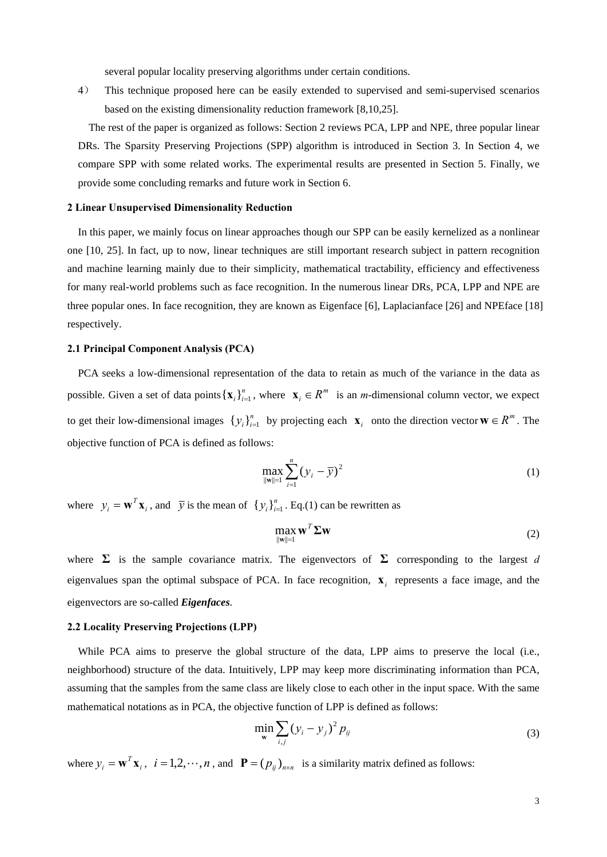several popular locality preserving algorithms under certain conditions.

4) This technique proposed here can be easily extended to supervised and semi-supervised scenarios based on the existing dimensionality reduction framework [8,10,25].

 The rest of the paper is organized as follows: Section 2 reviews PCA, LPP and NPE, three popular linear DRs. The Sparsity Preserving Projections (SPP) algorithm is introduced in Section 3. In Section 4, we compare SPP with some related works. The experimental results are presented in Section 5. Finally, we provide some concluding remarks and future work in Section 6.

## **2 Linear Unsupervised Dimensionality Reduction**

In this paper, we mainly focus on linear approaches though our SPP can be easily kernelized as a nonlinear one [10, 25]. In fact, up to now, linear techniques are still important research subject in pattern recognition and machine learning mainly due to their simplicity, mathematical tractability, efficiency and effectiveness for many real-world problems such as face recognition. In the numerous linear DRs, PCA, LPP and NPE are three popular ones. In face recognition, they are known as Eigenface [6], Laplacianface [26] and NPEface [18] respectively.

## **2.1 Principal Component Analysis (PCA)**

PCA seeks a low-dimensional representation of the data to retain as much of the variance in the data as possible. Given a set of data points  $\{x_i\}_{i=1}^n$ , where  $x_i \in R^m$  is an *m*-dimensional column vector, we expect to get their low-dimensional images  $\{y_i\}_{i=1}^n$  by projecting each  $\mathbf{x}_i$  onto the direction vector  $\mathbf{w} \in \mathbb{R}^m$ . The objective function of PCA is defined as follows:

$$
\max_{\|\mathbf{w}\|=1} \sum_{i=1}^{n} (y_i - \overline{y})^2
$$
 (1)

where  $y_i = \mathbf{w}^T \mathbf{x}_i$ , and  $\bar{y}$  is the mean of  $\{y_i\}_{i=1}^n$ . Eq.(1) can be rewritten as

$$
\max_{\|\mathbf{w}\|=1} \mathbf{w}^T \mathbf{\Sigma} \mathbf{w} \tag{2}
$$

where  $\Sigma$  is the sample covariance matrix. The eigenvectors of  $\Sigma$  corresponding to the largest *d* eigenvalues span the optimal subspace of PCA. In face recognition,  $\mathbf{x}_i$  represents a face image, and the eigenvectors are so-called *Eigenfaces*.

## **2.2 Locality Preserving Projections (LPP)**

While PCA aims to preserve the global structure of the data, LPP aims to preserve the local (i.e., neighborhood) structure of the data. Intuitively, LPP may keep more discriminating information than PCA, assuming that the samples from the same class are likely close to each other in the input space. With the same mathematical notations as in PCA, the objective function of LPP is defined as follows:

$$
\min_{\mathbf{w}} \sum_{i,j} (y_i - y_j)^2 p_{ij} \tag{3}
$$

where  $y_i = \mathbf{w}^T \mathbf{x}_i$ ,  $i = 1, 2, \dots, n$ , and  $\mathbf{P} = (p_{ij})_{n \times n}$  is a similarity matrix defined as follows: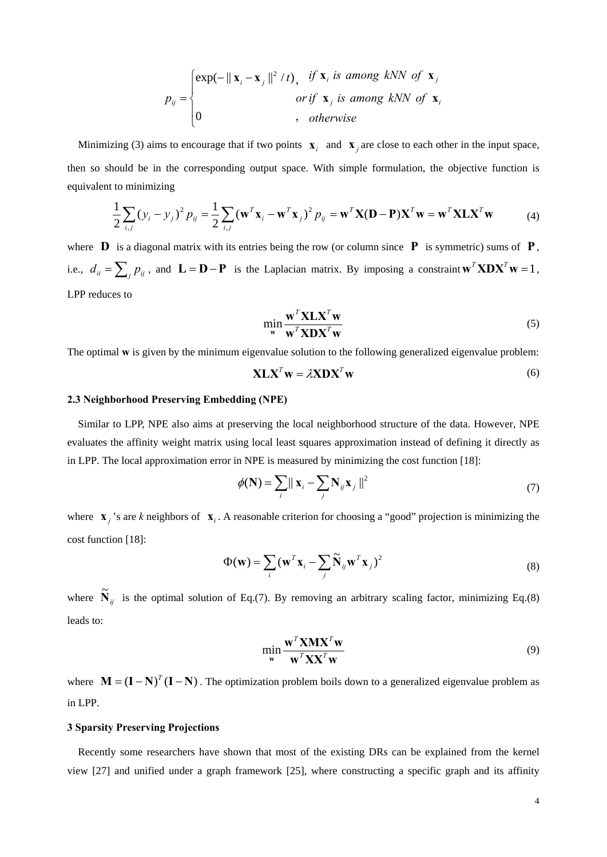$$
p_{ij} = \begin{cases} \exp(-\|\mathbf{x}_i - \mathbf{x}_j\|^2 / t), & \text{if } \mathbf{x}_i \text{ is among kNN of } \mathbf{x}_j \\ \text{or if } \mathbf{x}_j \text{ is among kNN of } \mathbf{x}_i \\ 0 & \text{, otherwise} \end{cases}
$$

Minimizing (3) aims to encourage that if two points  $\mathbf{x}_i$  and  $\mathbf{x}_j$  are close to each other in the input space, then so should be in the corresponding output space. With simple formulation, the objective function is equivalent to minimizing

$$
\frac{1}{2}\sum_{i,j}\left(y_i - y_j\right)^2 P_{ij} = \frac{1}{2}\sum_{i,j}\left(\mathbf{w}^T\mathbf{x}_i - \mathbf{w}^T\mathbf{x}_j\right)^2 P_{ij} = \mathbf{w}^T\mathbf{X}(\mathbf{D} - \mathbf{P})\mathbf{X}^T\mathbf{w} = \mathbf{w}^T\mathbf{X}\mathbf{L}\mathbf{X}^T\mathbf{w}
$$
(4)

where  $\bf{D}$  is a diagonal matrix with its entries being the row (or column since  $\bf{P}$  is symmetric) sums of  $\bf{P}$ , i.e.,  $d_{ii} = \sum_{j} p_{ij}$ , and  $\mathbf{L} = \mathbf{D} - \mathbf{P}$  is the Laplacian matrix. By imposing a constraint  $\mathbf{w}^T \mathbf{X} \mathbf{D} \mathbf{X}^T \mathbf{w} = 1$ , LPP reduces to

$$
\min_{\mathbf{w}} \frac{\mathbf{w}^T \mathbf{X} \mathbf{L} \mathbf{X}^T \mathbf{w}}{\mathbf{w}^T \mathbf{X} \mathbf{D} \mathbf{X}^T \mathbf{w}}
$$
(5)

The optimal **w** is given by the minimum eigenvalue solution to the following generalized eigenvalue problem:

$$
X L XT w = \lambda X D XT w
$$
 (6)

## **2.3 Neighborhood Preserving Embedding (NPE)**

 Similar to LPP, NPE also aims at preserving the local neighborhood structure of the data. However, NPE evaluates the affinity weight matrix using local least squares approximation instead of defining it directly as in LPP. The local approximation error in NPE is measured by minimizing the cost function [18]:

$$
\phi(\mathbf{N}) = \sum_{i} ||\mathbf{x}_{i} - \sum_{j} \mathbf{N}_{ij} \mathbf{x}_{j}||^{2}
$$
\n(7)

where  $\mathbf{x}_i$  's are *k* neighbors of  $\mathbf{x}_i$ . A reasonable criterion for choosing a "good" projection is minimizing the cost function [18]:

$$
\Phi(\mathbf{w}) = \sum_{i} (\mathbf{w}^{T} \mathbf{x}_{i} - \sum_{j} \widetilde{\mathbf{N}}_{ij} \mathbf{w}^{T} \mathbf{x}_{j})^{2}
$$
\n(8)

where  $\tilde{\mathbf{N}}_{ij}$  is the optimal solution of Eq.(7). By removing an arbitrary scaling factor, minimizing Eq.(8) leads to:

$$
\min_{\mathbf{w}} \frac{\mathbf{w}^T \mathbf{X} \mathbf{M} \mathbf{X}^T \mathbf{w}}{\mathbf{w}^T \mathbf{X} \mathbf{X}^T \mathbf{w}}
$$
(9)

where  $\mathbf{M} = (\mathbf{I} - \mathbf{N})^T (\mathbf{I} - \mathbf{N})$ . The optimization problem boils down to a generalized eigenvalue problem as in LPP.

## **3 Sparsity Preserving Projections**

Recently some researchers have shown that most of the existing DRs can be explained from the kernel view [27] and unified under a graph framework [25], where constructing a specific graph and its affinity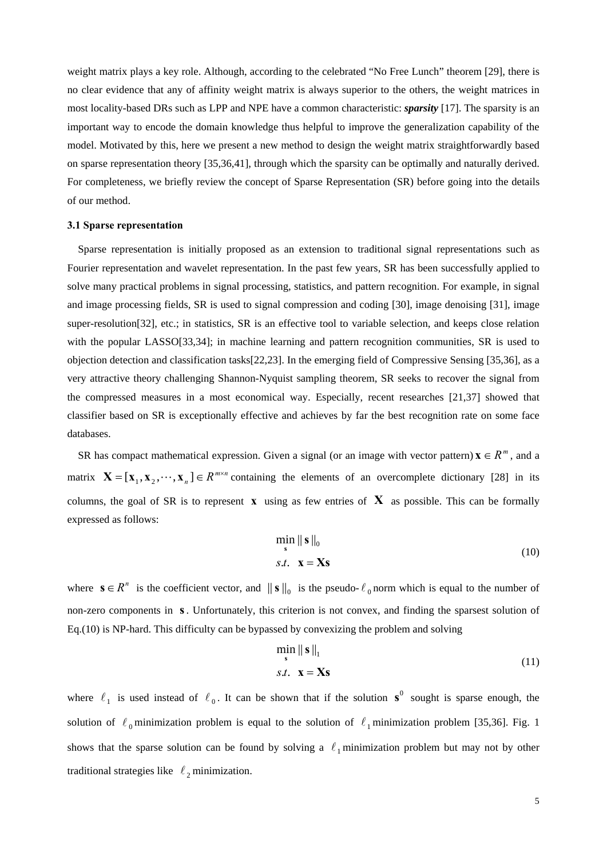weight matrix plays a key role. Although, according to the celebrated "No Free Lunch" theorem [29], there is no clear evidence that any of affinity weight matrix is always superior to the others, the weight matrices in most locality-based DRs such as LPP and NPE have a common characteristic: *sparsity* [17]. The sparsity is an important way to encode the domain knowledge thus helpful to improve the generalization capability of the model. Motivated by this, here we present a new method to design the weight matrix straightforwardly based on sparse representation theory [35,36,41], through which the sparsity can be optimally and naturally derived. For completeness, we briefly review the concept of Sparse Representation (SR) before going into the details of our method.

#### **3.1 Sparse representation**

Sparse representation is initially proposed as an extension to traditional signal representations such as Fourier representation and wavelet representation. In the past few years, SR has been successfully applied to solve many practical problems in signal processing, statistics, and pattern recognition. For example, in signal and image processing fields, SR is used to signal compression and coding [30], image denoising [31], image super-resolution[32], etc.; in statistics, SR is an effective tool to variable selection, and keeps close relation with the popular LASSO[33,34]; in machine learning and pattern recognition communities, SR is used to objection detection and classification tasks[22,23]. In the emerging field of Compressive Sensing [35,36], as a very attractive theory challenging Shannon-Nyquist sampling theorem, SR seeks to recover the signal from the compressed measures in a most economical way. Especially, recent researches [21,37] showed that classifier based on SR is exceptionally effective and achieves by far the best recognition rate on some face databases.

*SR* has compact mathematical expression. Given a signal (or an image with vector pattern) **x**  $\in$  *R*<sup>*m*</sup>, and a matrix  $\mathbf{X} = [\mathbf{x}_1, \mathbf{x}_2, \dots, \mathbf{x}_n] \in R^{m \times n}$  containing the elements of an overcomplete dictionary [28] in its columns, the goal of SR is to represent  $\bf{x}$  using as few entries of  $\bf{X}$  as possible. This can be formally expressed as follows:

$$
\min_{\mathbf{s}} \|\mathbf{s}\|_{0}
$$
  
s.t.  $\mathbf{x} = \mathbf{X}\mathbf{s}$  (10)

where  $\mathbf{s} \in R^n$  is the coefficient vector, and  $\|\mathbf{s}\|_0$  is the pseudo-  $\ell_0$  norm which is equal to the number of non-zero components in s. Unfortunately, this criterion is not convex, and finding the sparsest solution of Eq.(10) is NP-hard. This difficulty can be bypassed by convexizing the problem and solving

$$
\min_{\mathbf{s}} \|\mathbf{s}\|_{1}
$$
  
s.t.  $\mathbf{x} = \mathbf{X}\mathbf{s}$  (11)

where  $\ell_1$  is used instead of  $\ell_0$ . It can be shown that if the solution  $s^0$  sought is sparse enough, the solution of  $\ell_0$  minimization problem is equal to the solution of  $\ell_1$  minimization problem [35,36]. Fig. 1 shows that the sparse solution can be found by solving a  $\ell_1$  minimization problem but may not by other traditional strategies like  $\ell_2$  minimization.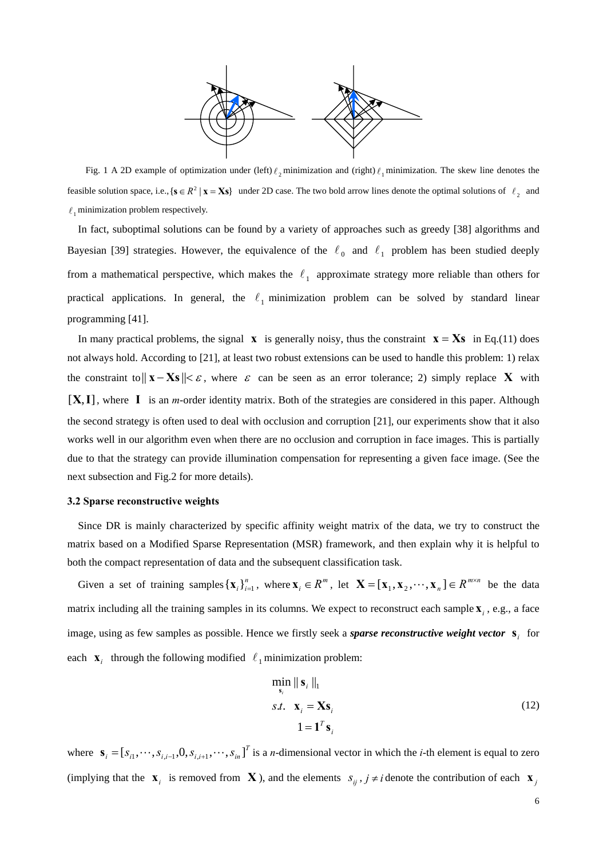

Fig. 1 A 2D example of optimization under (left)  $\ell_2$  minimization and (right)  $\ell_1$  minimization. The skew line denotes the feasible solution space, i.e.,  $\{s \in R^2 | x = Xs\}$  under 2D case. The two bold arrow lines denote the optimal solutions of  $\ell_2$  and  $\ell_1$  minimization problem respectively.

In fact, suboptimal solutions can be found by a variety of approaches such as greedy [38] algorithms and Bayesian [39] strategies. However, the equivalence of the  $\ell_0$  and  $\ell_1$  problem has been studied deeply from a mathematical perspective, which makes the  $\ell_1$  approximate strategy more reliable than others for practical applications. In general, the  $\ell_1$  minimization problem can be solved by standard linear programming [41].

In many practical problems, the signal  $\bf{x}$  is generally noisy, thus the constraint  $\bf{x} = \bf{X}\bf{s}$  in Eq.(11) does not always hold. According to [21], at least two robust extensions can be used to handle this problem: 1) relax the constraint to  $||\mathbf{x} - \mathbf{X}\mathbf{s}|| < \varepsilon$ , where  $\varepsilon$  can be seen as an error tolerance; 2) simply replace **X** with  $[X, I]$ , where  $I$  is an *m*-order identity matrix. Both of the strategies are considered in this paper. Although the second strategy is often used to deal with occlusion and corruption [21], our experiments show that it also works well in our algorithm even when there are no occlusion and corruption in face images. This is partially due to that the strategy can provide illumination compensation for representing a given face image. (See the next subsection and Fig.2 for more details).

#### **3.2 Sparse reconstructive weights**

Since DR is mainly characterized by specific affinity weight matrix of the data, we try to construct the matrix based on a Modified Sparse Representation (MSR) framework, and then explain why it is helpful to both the compact representation of data and the subsequent classification task.

Given a set of training samples  $\{x_i\}_{i=1}^n$ , where  $x_i \in R^m$ , let  $X = [x_1, x_2, \dots, x_n] \in R^{m \times n}$  be the data matrix including all the training samples in its columns. We expect to reconstruct each sample  $\mathbf{x}_i$ , e.g., a face image, using as few samples as possible. Hence we firstly seek a *sparse reconstructive weight vector*  $s_i$  for each  $\mathbf{x}_i$  through the following modified  $\ell_1$  minimization problem:

$$
\min_{\mathbf{s}_i} \|\mathbf{s}_i\|_1
$$
  
s.t.  $\mathbf{x}_i = \mathbf{X}\mathbf{s}_i$   
 $1 = \mathbf{1}^T \mathbf{s}_i$  (12)

where  $\mathbf{s}_i = [s_{i1}, \dots, s_{i,i-1}, 0, s_{i,i+1}, \dots, s_{in}]^T$  is a *n*-dimensional vector in which the *i*-th element is equal to zero (implying that the  $\mathbf{x}_i$  is removed from  $\mathbf{X}$ ), and the elements  $s_{ij}$ ,  $j \neq i$  denote the contribution of each  $\mathbf{x}_j$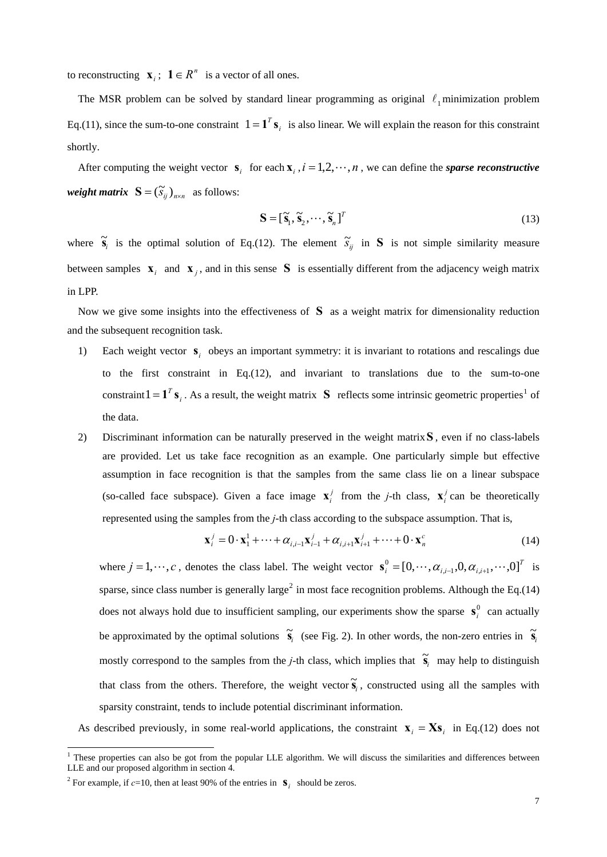*i* to reconstructing  $\mathbf{x}_i$ ;  $\mathbf{1} \in R^n$  is a vector of all ones.

The MSR problem can be solved by standard linear programming as original  $\ell_1$  minimization problem Eq.(11), since the sum-to-one constraint  $1 = \mathbf{1}^T \mathbf{s}_i$  is also linear. We will explain the reason for this constraint shortly.

After computing the weight vector  $s_i$  for each  $x_i$ ,  $i = 1, 2, \dots, n$ , we can define the *sparse reconstructive weight matrix*  $S = (\widetilde{S}_{ii})_{n \times n}$  as follows:

$$
\mathbf{S} = [\tilde{\mathbf{s}}_1, \tilde{\mathbf{s}}_2, \cdots, \tilde{\mathbf{s}}_n]^T
$$
\n(13)

where  $\tilde{\mathbf{s}}_i$  is the optimal solution of Eq.(12). The element  $\tilde{s}_{ij}$  in **S** is not simple similarity measure between samples  $\mathbf{x}_i$  and  $\mathbf{x}_j$ , and in this sense **S** is essentially different from the adjacency weigh matrix in LPP.

Now we give some insights into the effectiveness of  $S$  as a weight matrix for dimensionality reduction and the subsequent recognition task.

- 1) Each weight vector  $s_i$  obeys an important symmetry: it is invariant to rotations and rescalings due to the first constraint in Eq.(12), and invariant to translations due to the sum-to-one constraint  $1 = \mathbf{1}^T \mathbf{s}_i$  $1 = \mathbf{1}^T \mathbf{s}_i$ . As a result, the weight matrix **S** reflects some intrinsic geometric properties<sup>1</sup> of the data.
- 2) Discriminant information can be naturally preserved in the weight matrix**S** , even if no class-labels are provided. Let us take face recognition as an example. One particularly simple but effective assumption in face recognition is that the samples from the same class lie on a linear subspace (so-called face subspace). Given a face image  $\mathbf{x}_i^j$  from the *j*-th class,  $\mathbf{x}_i^j$  can be theoretically represented using the samples from the *j*-th class according to the subspace assumption. That is,

$$
\mathbf{x}_{i}^{j} = 0 \cdot \mathbf{x}_{1}^{1} + \dots + \alpha_{i,i-1} \mathbf{x}_{i-1}^{j} + \alpha_{i,i+1} \mathbf{x}_{i+1}^{j} + \dots + 0 \cdot \mathbf{x}_{n}^{c}
$$
(14)

where  $j = 1, \dots, c$ , denotes the class label. The weight vector  $\mathbf{s}_i^0 = [0, \dots, \alpha_{i,i-1}, 0, \alpha_{i,i+1}, \dots, 0]^T$  is sparse, since class number is generally large<sup>[2](#page-6-1)</sup> in most face recognition problems. Although the Eq.(14) does not always hold due to insufficient sampling, our experiments show the sparse  $s_i^0$  can actually be approximated by the optimal solutions  $\tilde{s}_i$  (see Fig. 2). In other words, the non-zero entries in  $\tilde{s}_i$ mostly correspond to the samples from the *j*-th class, which implies that  $\tilde{s}_i$  may help to distinguish that class from the others. Therefore, the weight vector  $\tilde{\mathbf{s}}_i$ , constructed using all the samples with sparsity constraint, tends to include potential discriminant information.

As described previously, in some real-world applications, the constraint  $\mathbf{x}_i = \mathbf{X} \mathbf{s}_i$  in Eq.(12) does not

<span id="page-6-0"></span>These properties can also be got from the popular LLE algorithm. We will discuss the similarities and differences between LLE and our proposed algorithm in section 4.

<span id="page-6-1"></span><sup>&</sup>lt;sup>2</sup> For example, if  $c=10$ , then at least 90% of the entries in  $S_i$  should be zeros.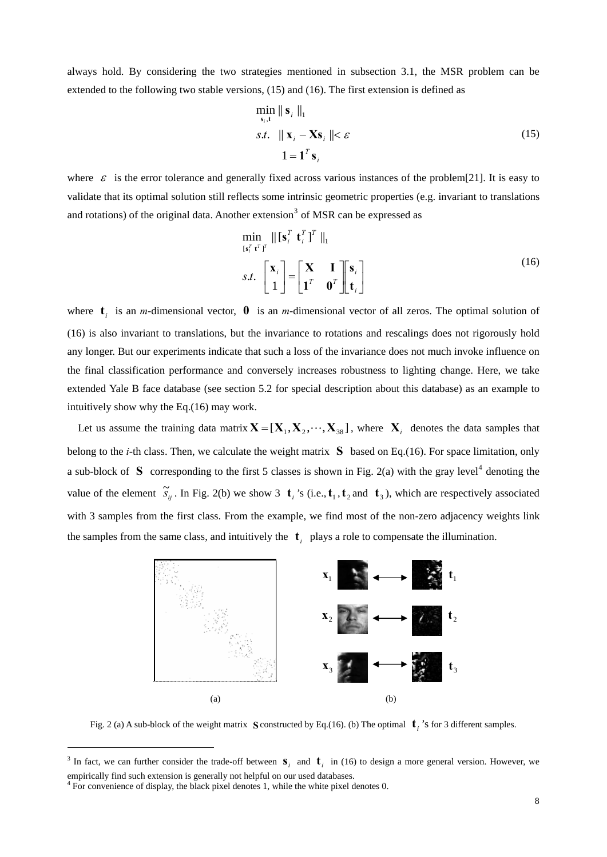always hold. By considering the two strategies mentioned in subsection 3.1, the MSR problem can be extended to the following two stable versions, (15) and (16). The first extension is defined as

$$
\min_{\mathbf{s}_i, \mathbf{t}} \|\mathbf{s}_i\|_1
$$
  
s.t.  $\|\mathbf{x}_i - \mathbf{X}\mathbf{s}_i\| < \varepsilon$   
 $1 = \mathbf{1}^T \mathbf{s}_i$  (15)

where  $\varepsilon$  is the error tolerance and generally fixed across various instances of the problem[21]. It is easy to validate that its optimal solution still reflects some intrinsic geometric properties (e.g. invariant to translations and rotations) of the original data. Another extension<sup>[3](#page-7-0)</sup> of MSR can be expressed as

$$
\min_{\{\mathbf{s}_i^T \mathbf{t}^T\}} \|\[\mathbf{s}_i^T \mathbf{t}_i^T\]^T\|_1
$$
\n
$$
s.t. \begin{bmatrix} \mathbf{x}_i \\ 1 \end{bmatrix} = \begin{bmatrix} \mathbf{X} & \mathbf{I} \\ \mathbf{I}^T & \mathbf{0}^T \end{bmatrix} \begin{bmatrix} \mathbf{s}_i \\ \mathbf{t}_i \end{bmatrix}
$$
\n(16)

where  $\mathbf{t}_i$  is an *m*-dimensional vector, **0** is an *m*-dimensional vector of all zeros. The optimal solution of (16) is also invariant to translations, but the invariance to rotations and rescalings does not rigorously hold any longer. But our experiments indicate that such a loss of the invariance does not much invoke influence on the final classification performance and conversely increases robustness to lighting change. Here, we take extended Yale B face database (see section 5.2 for special description about this database) as an example to intuitively show why the Eq.(16) may work.

Let us assume the training data matrix  $X = [X_1, X_2, \dots, X_{38}]$ , where  $X_i$  denotes the data samples that belong to the *i*-th class. Then, we calculate the weight matrix  $S$  based on Eq.(16). For space limitation, only a sub-block of S corresponding to the first 5 classes is shown in Fig. 2(a) with the gray level<sup>[4](#page-7-1)</sup> denoting the value of the element  $\tilde{s}_{ij}$ . In Fig. 2(b) we show 3  $\mathbf{t}_i$ 's (i.e.,  $\mathbf{t}_1$ ,  $\mathbf{t}_2$  and  $\mathbf{t}_3$ ), which are respectively associated with 3 samples from the first class. From the example, we find most of the non-zero adjacency weights link the samples from the same class, and intuitively the  $\mathbf{t}_i$  plays a role to compensate the illumination.



Fig. 2 (a) A sub-block of the weight matrix S constructed by Eq.(16). (b) The optimal  $\mathbf{t}_i$  's for 3 different samples.

<u>.</u>

<span id="page-7-0"></span><sup>&</sup>lt;sup>3</sup> In fact, we can further consider the trade-off between  $\mathbf{s}_i$  and  $\mathbf{t}_i$  in (16) to design a more general version. However, we empirically find such extension is generally not helpful on our used databases.

<span id="page-7-1"></span><sup>&</sup>lt;sup>4</sup> For convenience of display, the black pixel denotes 1, while the white pixel denotes 0.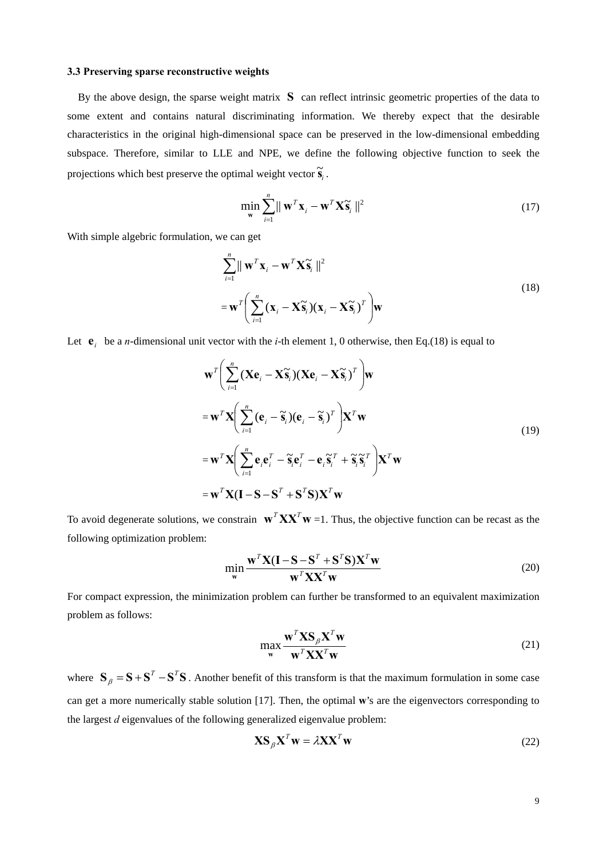## **3.3 Preserving sparse reconstructive weights**

By the above design, the sparse weight matrix  $S$  can reflect intrinsic geometric properties of the data to some extent and contains natural discriminating information. We thereby expect that the desirable characteristics in the original high-dimensional space can be preserved in the low-dimensional embedding subspace. Therefore, similar to LLE and NPE, we define the following objective function to seek the projections which best preserve the optimal weight vector  $\tilde{\mathbf{s}}_i$ .

$$
\min_{\mathbf{w}} \sum_{i=1}^{n} ||\mathbf{w}^{T} \mathbf{x}_{i} - \mathbf{w}^{T} \mathbf{X} \widetilde{\mathbf{s}}_{i}||^{2}
$$
\n(17)

With simple algebric formulation, we can get

$$
\sum_{i=1}^{n} || \mathbf{w}^{T} \mathbf{x}_{i} - \mathbf{w}^{T} \mathbf{X} \widetilde{\mathbf{s}}_{i} ||^{2}
$$
\n
$$
= \mathbf{w}^{T} \Biggl( \sum_{i=1}^{n} (\mathbf{x}_{i} - \mathbf{X} \widetilde{\mathbf{s}}_{i}) (\mathbf{x}_{i} - \mathbf{X} \widetilde{\mathbf{s}}_{i})^{T} \Biggr) \mathbf{w}
$$
\n(18)

Let  $e_i$  be a *n*-dimensional unit vector with the *i*-th element 1, 0 otherwise, then Eq.(18) is equal to

$$
\mathbf{w}^{T} \Bigg( \sum_{i=1}^{n} (\mathbf{X} \mathbf{e}_{i} - \mathbf{X} \widetilde{\mathbf{s}}_{i}) (\mathbf{X} \mathbf{e}_{i} - \mathbf{X} \widetilde{\mathbf{s}}_{i})^{T} \Bigg) \mathbf{w}
$$
  
\n
$$
= \mathbf{w}^{T} \mathbf{X} \Bigg( \sum_{i=1}^{n} (\mathbf{e}_{i} - \widetilde{\mathbf{s}}_{i}) (\mathbf{e}_{i} - \widetilde{\mathbf{s}}_{i})^{T} \Bigg) \mathbf{X}^{T} \mathbf{w}
$$
  
\n
$$
= \mathbf{w}^{T} \mathbf{X} \Bigg( \sum_{i=1}^{n} \mathbf{e}_{i} \mathbf{e}_{i}^{T} - \widetilde{\mathbf{s}}_{i} \mathbf{e}_{i}^{T} - \mathbf{e}_{i} \widetilde{\mathbf{s}}_{i}^{T} + \widetilde{\mathbf{s}}_{i} \widetilde{\mathbf{s}}_{i}^{T} \Bigg) \mathbf{X}^{T} \mathbf{w}
$$
  
\n
$$
= \mathbf{w}^{T} \mathbf{X} (\mathbf{I} - \mathbf{S} - \mathbf{S}^{T} + \mathbf{S}^{T} \mathbf{S}) \mathbf{X}^{T} \mathbf{w}
$$
 (19)

To avoid degenerate solutions, we constrain  $\mathbf{w}^T \mathbf{X} \mathbf{X}^T \mathbf{w} = 1$ . Thus, the objective function can be recast as the following optimization problem:

$$
\min_{\mathbf{w}} \frac{\mathbf{w}^T \mathbf{X} (\mathbf{I} - \mathbf{S} - \mathbf{S}^T + \mathbf{S}^T \mathbf{S}) \mathbf{X}^T \mathbf{w}}{\mathbf{w}^T \mathbf{X} \mathbf{X}^T \mathbf{w}}
$$
(20)

For compact expression, the minimization problem can further be transformed to an equivalent maximization problem as follows:

$$
\max_{\mathbf{w}} \frac{\mathbf{w}^T \mathbf{X} \mathbf{S}_{\beta} \mathbf{X}^T \mathbf{w}}{\mathbf{w}^T \mathbf{X} \mathbf{X}^T \mathbf{w}}
$$
(21)

where  $S_{\beta} = S + S^{T} - S^{T}S$ . Another benefit of this transform is that the maximum formulation in some case can get a more numerically stable solution [17]. Then, the optimal **w**'s are the eigenvectors corresponding to the largest *d* eigenvalues of the following generalized eigenvalue problem:

$$
\mathbf{X}\mathbf{S}_{\beta}\mathbf{X}^T\mathbf{w} = \lambda \mathbf{X}\mathbf{X}^T\mathbf{w}
$$
 (22)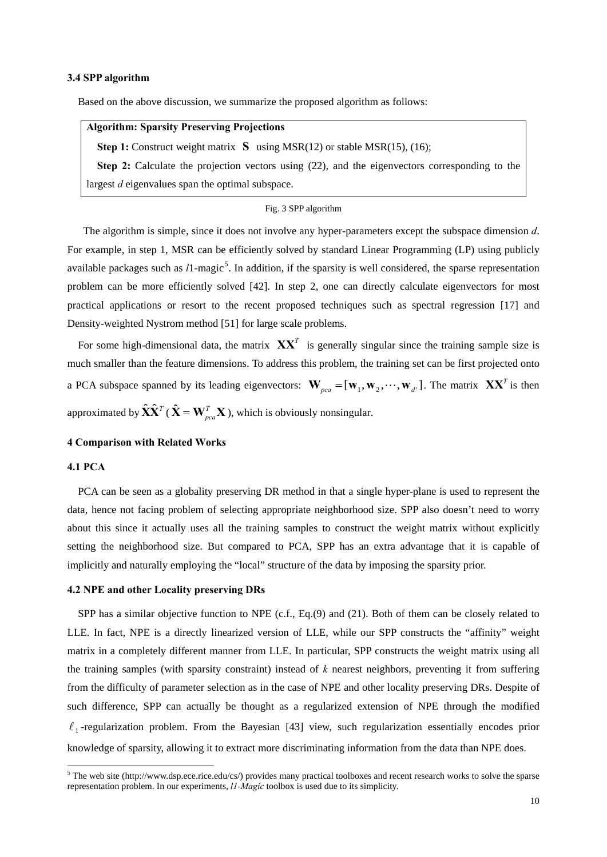## **3.4 SPP algorithm**

Based on the above discussion, we summarize the proposed algorithm as follows:

# **Algorithm: Sparsity Preserving Projections**

**Step 1:** Construct weight matrix **S** using MSR(12) or stable MSR(15), (16);

**Step 2:** Calculate the projection vectors using (22), and the eigenvectors corresponding to the largest *d* eigenvalues span the optimal subspace.

## Fig. 3 SPP algorithm

The algorithm is simple, since it does not involve any hyper-parameters except the subspace dimension *d*. For example, in step 1, MSR can be efficiently solved by standard Linear Programming (LP) using publicly available packages such as  $l1$ -magic<sup>[5](#page-9-0)</sup>. In addition, if the sparsity is well considered, the sparse representation problem can be more efficiently solved [42]. In step 2, one can directly calculate eigenvectors for most practical applications or resort to the recent proposed techniques such as spectral regression [17] and Density-weighted Nystrom method [51] for large scale problems.

For some high-dimensional data, the matrix  $\mathbf{X}\mathbf{X}^T$  is generally singular since the training sample size is much smaller than the feature dimensions. To address this problem, the training set can be first projected onto a PCA subspace spanned by its leading eigenvectors:  $\mathbf{W}_{pca} = [\mathbf{w}_1, \mathbf{w}_2, \cdots, \mathbf{w}_{d'}]$ . The matrix  $\mathbf{X} \mathbf{X}^T$  is then approximated by  $\hat{\mathbf{X}} \hat{\mathbf{X}}^T$  ( $\hat{\mathbf{X}} = \mathbf{W}_{pca}^T \mathbf{X}$ ), which is obviously nonsingular.

## **4 Comparison with Related Works**

# **4.1 PCA**

PCA can be seen as a globality preserving DR method in that a single hyper-plane is used to represent the data, hence not facing problem of selecting appropriate neighborhood size. SPP also doesn't need to worry about this since it actually uses all the training samples to construct the weight matrix without explicitly setting the neighborhood size. But compared to PCA, SPP has an extra advantage that it is capable of implicitly and naturally employing the "local" structure of the data by imposing the sparsity prior.

## **4.2 NPE and other Locality preserving DRs**

SPP has a similar objective function to NPE (c.f., Eq.(9) and (21). Both of them can be closely related to LLE. In fact, NPE is a directly linearized version of LLE, while our SPP constructs the "affinity" weight matrix in a completely different manner from LLE. In particular, SPP constructs the weight matrix using all the training samples (with sparsity constraint) instead of *k* nearest neighbors, preventing it from suffering from the difficulty of parameter selection as in the case of NPE and other locality preserving DRs. Despite of such difference, SPP can actually be thought as a regularized extension of NPE through the modified  $\ell_1$ -regularization problem. From the Bayesian [43] view, such regularization essentially encodes prior knowledge of sparsity, allowing it to extract more discriminating information from the data than NPE does.

<span id="page-9-0"></span>The web site (http://www.dsp.ece.rice.edu/cs/) provides many practical toolboxes and recent research works to solve the sparse representation problem. In our experiments, *l1-Magic* toolbox is used due to its simplicity.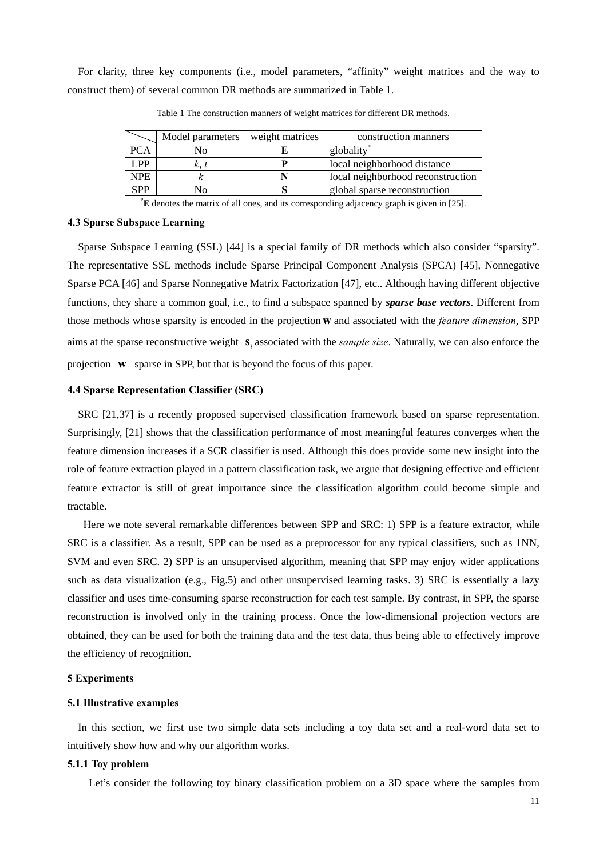For clarity, three key components (i.e., model parameters, "affinity" weight matrices and the way to construct them) of several common DR methods are summarized in Table 1.

|            | Model parameters | weight matrices | construction manners              |
|------------|------------------|-----------------|-----------------------------------|
| <b>PCA</b> | Nо               |                 | globality                         |
| LPP        |                  |                 | local neighborhood distance       |
| <b>NPE</b> |                  |                 | local neighborhood reconstruction |
| <b>SPP</b> | ง∩               |                 | global sparse reconstruction      |

Table 1 The construction manners of weight matrices for different DR methods.

\* **E** denotes the matrix of all ones, and its corresponding adjacency graph is given in [25].

## **4.3 Sparse Subspace Learning**

Sparse Subspace Learning (SSL) [44] is a special family of DR methods which also consider "sparsity". The representative SSL methods include Sparse Principal Component Analysis (SPCA) [45], Nonnegative Sparse PCA [46] and Sparse Nonnegative Matrix Factorization [47], etc.. Although having different objective functions, they share a common goal, i.e., to find a subspace spanned by *sparse base vectors*. Different from those methods whose sparsity is encoded in the projection w and associated with the *feature dimension*, SPP aims at the sparse reconstructive weight  $s_i$  associated with the *sample size*. Naturally, we can also enforce the projection **w** sparse in SPP, but that is beyond the focus of this paper.

## **4.4 Sparse Representation Classifier (SRC)**

SRC [21,37] is a recently proposed supervised classification framework based on sparse representation. Surprisingly, [21] shows that the classification performance of most meaningful features converges when the feature dimension increases if a SCR classifier is used. Although this does provide some new insight into the role of feature extraction played in a pattern classification task, we argue that designing effective and efficient feature extractor is still of great importance since the classification algorithm could become simple and tractable.

Here we note several remarkable differences between SPP and SRC: 1) SPP is a feature extractor, while SRC is a classifier. As a result, SPP can be used as a preprocessor for any typical classifiers, such as 1NN, SVM and even SRC. 2) SPP is an unsupervised algorithm, meaning that SPP may enjoy wider applications such as data visualization (e.g., Fig.5) and other unsupervised learning tasks. 3) SRC is essentially a lazy classifier and uses time-consuming sparse reconstruction for each test sample. By contrast, in SPP, the sparse reconstruction is involved only in the training process. Once the low-dimensional projection vectors are obtained, they can be used for both the training data and the test data, thus being able to effectively improve the efficiency of recognition.

## **5 Experiments**

## **5.1 Illustrative examples**

 In this section, we first use two simple data sets including a toy data set and a real-word data set to intuitively show how and why our algorithm works.

## **5.1.1 Toy problem**

Let's consider the following toy binary classification problem on a 3D space where the samples from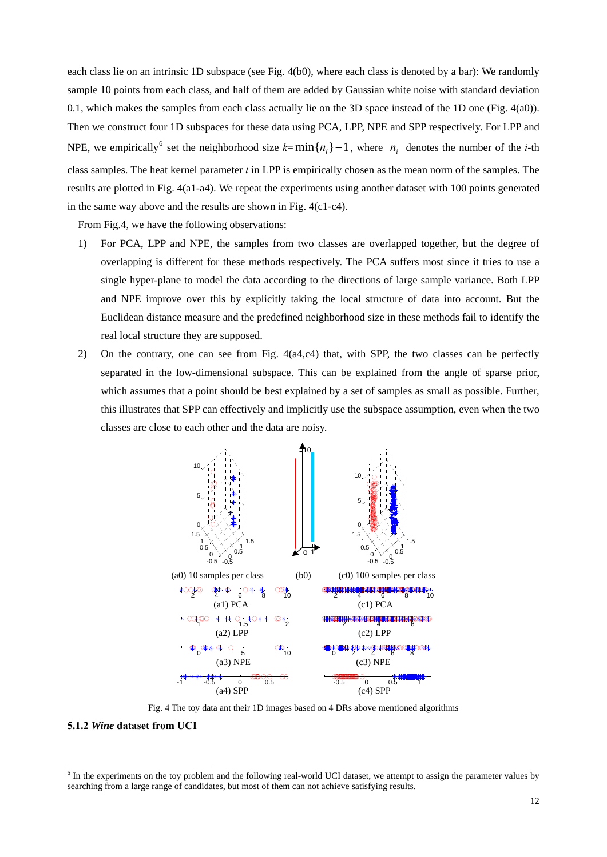each class lie on an intrinsic 1D subspace (see Fig. 4(b0), where each class is denoted by a bar): We randomly sample 10 points from each class, and half of them are added by Gaussian white noise with standard deviation 0.1, which makes the samples from each class actually lie on the 3D space instead of the 1D one (Fig. 4(a0)). Then we construct four 1D subspaces for these data using PCA, LPP, NPE and SPP respectively. For LPP and NPE, we empirically <sup>[6](#page-11-0)</sup> set the neighborhood size  $k= min\{n_i\} - 1$ , where  $n_i$  denotes the number of the *i*-th class samples. The heat kernel parameter *t* in LPP is empirically chosen as the mean norm of the samples. The results are plotted in Fig. 4(a1-a4). We repeat the experiments using another dataset with 100 points generated in the same way above and the results are shown in Fig. 4(c1-c4).

From Fig.4, we have the following observations:

- 1) For PCA, LPP and NPE, the samples from two classes are overlapped together, but the degree of overlapping is different for these methods respectively. The PCA suffers most since it tries to use a single hyper-plane to model the data according to the directions of large sample variance. Both LPP and NPE improve over this by explicitly taking the local structure of data into account. But the Euclidean distance measure and the predefined neighborhood size in these methods fail to identify the real local structure they are supposed.
- 2) On the contrary, one can see from Fig. 4(a4,c4) that, with SPP, the two classes can be perfectly separated in the low-dimensional subspace. This can be explained from the angle of sparse prior, which assumes that a point should be best explained by a set of samples as small as possible. Further, this illustrates that SPP can effectively and implicitly use the subspace assumption, even when the two classes are close to each other and the data are noisy.



Fig. 4 The toy data ant their 1D images based on 4 DRs above mentioned algorithms

# **5.1.2** *Wine* **dataset from UCI**

-

<span id="page-11-0"></span> $6$  In the experiments on the toy problem and the following real-world UCI dataset, we attempt to assign the parameter values by searching from a large range of candidates, but most of them can not achieve satisfying results.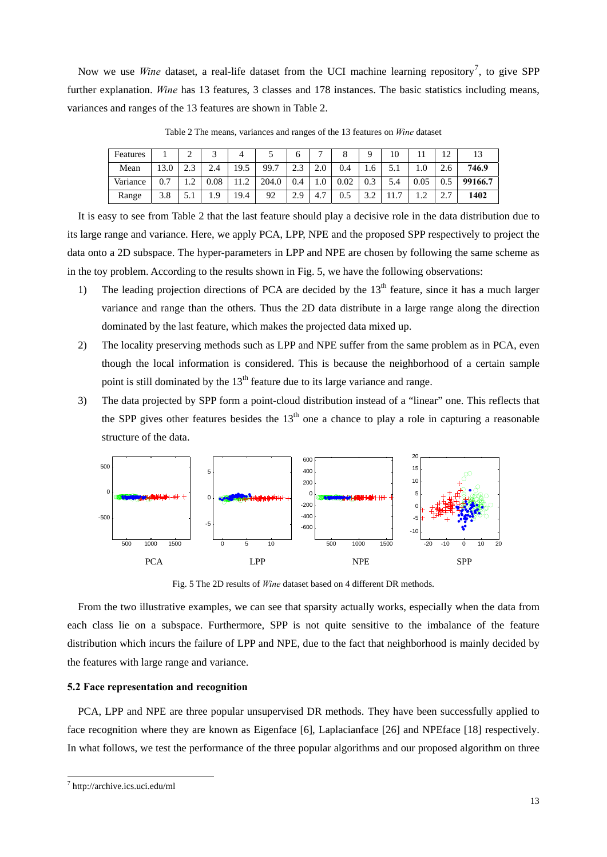Now we use *Wine* dataset, a real-life dataset from the UCI machine learning repository<sup>[7](#page-12-0)</sup>, to give SPP further explanation. *Wine* has 13 features, 3 classes and 178 instances. The basic statistics including means, variances and ranges of the 13 features are shown in Table 2.

| Features |      | ∸                  |      |                             |           | O         | -                     |      |       | 10  |                | $1^{\circ}$               |         |
|----------|------|--------------------|------|-----------------------------|-----------|-----------|-----------------------|------|-------|-----|----------------|---------------------------|---------|
| Mean     | 13.0 | $\rightarrow$<br>ر | 2.4  | 19.5                        | 99.7<br>7 | າາ<br>2.J | 2.0                   | 0.4  | 1.6   | ں ر | 1.0            |                           | 746.9   |
| Variance | 0.7  | ◠<br>              | 0.08 | $\bigcap$<br>$\overline{1}$ | 204.0     | 0.4       | 1.0                   | 0.02 | 0.3   | 5.4 | 0.05           |                           | 99166.7 |
| Range    | 3.8  | ۰.۱                | 1.9  | 19.4                        | 92        | 2.9       | $\overline{ }$<br>4., | 0.5  | ے . د |     | $\sqrt{2}$<br> | $\sim$ $\sim$<br><u>.</u> | 1402    |

Table 2 The means, variances and ranges of the 13 features on *Wine* dataset

It is easy to see from Table 2 that the last feature should play a decisive role in the data distribution due to its large range and variance. Here, we apply PCA, LPP, NPE and the proposed SPP respectively to project the data onto a 2D subspace. The hyper-parameters in LPP and NPE are chosen by following the same scheme as in the toy problem. According to the results shown in Fig. 5, we have the following observations:

- 1) The leading projection directions of PCA are decided by the  $13<sup>th</sup>$  feature, since it has a much larger variance and range than the others. Thus the 2D data distribute in a large range along the direction dominated by the last feature, which makes the projected data mixed up.
- 2) The locality preserving methods such as LPP and NPE suffer from the same problem as in PCA, even though the local information is considered. This is because the neighborhood of a certain sample point is still dominated by the  $13<sup>th</sup>$  feature due to its large variance and range.
- 3) The data projected by SPP form a point-cloud distribution instead of a "linear" one. This reflects that the SPP gives other features besides the  $13<sup>th</sup>$  one a chance to play a role in capturing a reasonable structure of the data.



Fig. 5 The 2D results of *Wine* dataset based on 4 different DR methods.

 From the two illustrative examples, we can see that sparsity actually works, especially when the data from each class lie on a subspace. Furthermore, SPP is not quite sensitive to the imbalance of the feature distribution which incurs the failure of LPP and NPE, due to the fact that neighborhood is mainly decided by the features with large range and variance.

# **5.2 Face representation and recognition**

PCA, LPP and NPE are three popular unsupervised DR methods. They have been successfully applied to face recognition where they are known as Eigenface [6], Laplacianface [26] and NPEface [18] respectively. In what follows, we test the performance of the three popular algorithms and our proposed algorithm on three

<u>.</u>

<span id="page-12-0"></span><sup>7</sup> http://archive.ics.uci.edu/ml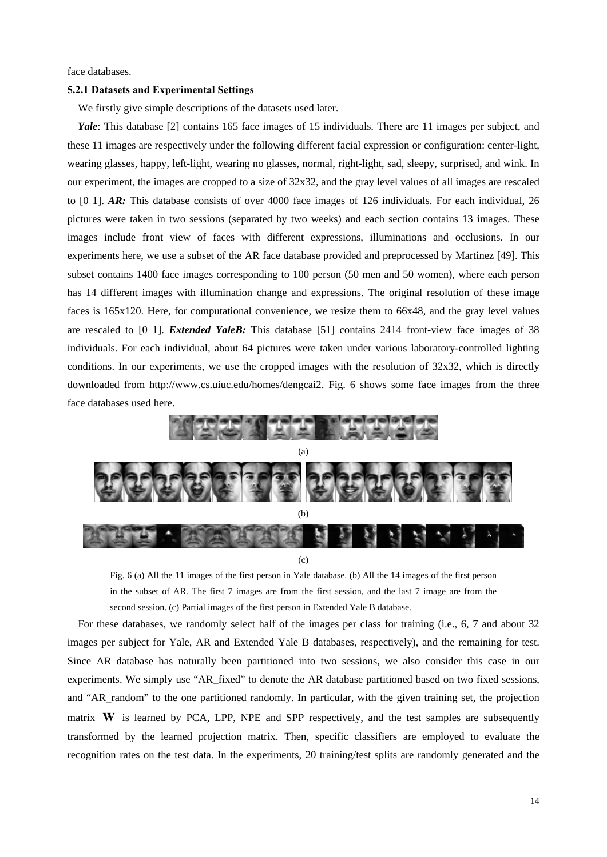face databases.

## **5.2.1 Datasets and Experimental Settings**

We firstly give simple descriptions of the datasets used later.

*Yale*: This database [2] contains 165 face images of 15 individuals. There are 11 images per subject, and these 11 images are respectively under the following different facial expression or configuration: center-light, wearing glasses, happy, left-light, wearing no glasses, normal, right-light, sad, sleepy, surprised, and wink. In our experiment, the images are cropped to a size of 32x32, and the gray level values of all images are rescaled to [0 1]. *AR:* This database consists of over 4000 face images of 126 individuals. For each individual, 26 pictures were taken in two sessions (separated by two weeks) and each section contains 13 images. These images include front view of faces with different expressions, illuminations and occlusions. In our experiments here, we use a subset of the AR face database provided and preprocessed by Martinez [49]. This subset contains 1400 face images corresponding to 100 person (50 men and 50 women), where each person has 14 different images with illumination change and expressions. The original resolution of these image faces is 165x120. Here, for computational convenience, we resize them to 66x48, and the gray level values are rescaled to [0 1]. *Extended YaleB:* This database [51] contains 2414 front-view face images of 38 individuals. For each individual, about 64 pictures were taken under various laboratory-controlled lighting conditions. In our experiments, we use the cropped images with the resolution of 32x32, which is directly downloaded from <http://www.cs.uiuc.edu/homes/dengcai2>. Fig. 6 shows some face images from the three face databases used here.



Fig. 6 (a) All the 11 images of the first person in Yale database. (b) All the 14 images of the first person in the subset of AR. The first 7 images are from the first session, and the last 7 image are from the second session. (c) Partial images of the first person in Extended Yale B database.

For these databases, we randomly select half of the images per class for training (i.e., 6, 7 and about 32 images per subject for Yale, AR and Extended Yale B databases, respectively), and the remaining for test. Since AR database has naturally been partitioned into two sessions, we also consider this case in our experiments. We simply use "AR\_fixed" to denote the AR database partitioned based on two fixed sessions, and "AR\_random" to the one partitioned randomly. In particular, with the given training set, the projection matrix  $W$  is learned by PCA, LPP, NPE and SPP respectively, and the test samples are subsequently transformed by the learned projection matrix. Then, specific classifiers are employed to evaluate the recognition rates on the test data. In the experiments, 20 training/test splits are randomly generated and the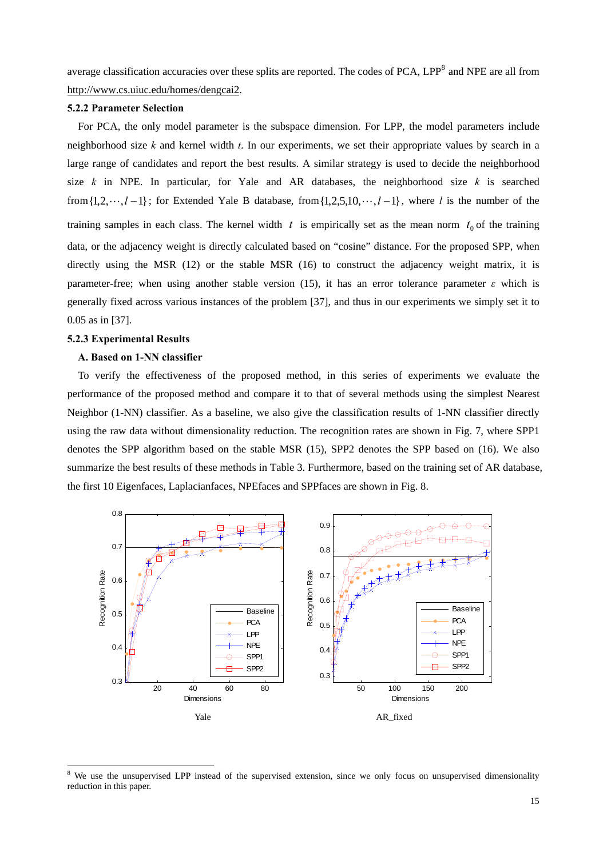average classification accuracies over these splits are reported. The codes of PCA,  $LPP<sup>8</sup>$  $LPP<sup>8</sup>$  $LPP<sup>8</sup>$  and NPE are all from http://www.cs.uiuc.edu/homes/dengcai2.

# **5.2.2 Parameter Selection**

For PCA, the only model parameter is the subspace dimension. For LPP, the model parameters include neighborhood size *k* and kernel width *t*. In our experiments, we set their appropriate values by search in a large range of candidates and report the best results. A similar strategy is used to decide the neighborhood size *k* in NPE. In particular, for Yale and AR databases, the neighborhood size *k* is searched from  $\{1, 2, \dots, l-1\}$ ; for Extended Yale B database, from  $\{1, 2, 5, 10, \dots, l-1\}$ , where *l* is the number of the training samples in each class. The kernel width  $t$  is empirically set as the mean norm  $t_0$  of the training data, or the adjacency weight is directly calculated based on "cosine" distance. For the proposed SPP, when directly using the MSR (12) or the stable MSR (16) to construct the adjacency weight matrix, it is parameter-free; when using another stable version (15), it has an error tolerance parameter  $\varepsilon$  which is generally fixed across various instances of the problem [37], and thus in our experiments we simply set it to 0.05 as in [37].

## **5.2.3 Experimental Results**

-

## **A. Based on 1-NN classifier**

To verify the effectiveness of the proposed method, in this series of experiments we evaluate the performance of the proposed method and compare it to that of several methods using the simplest Nearest Neighbor (1-NN) classifier. As a baseline, we also give the classification results of 1-NN classifier directly using the raw data without dimensionality reduction. The recognition rates are shown in Fig. 7, where SPP1 denotes the SPP algorithm based on the stable MSR (15), SPP2 denotes the SPP based on (16). We also summarize the best results of these methods in Table 3. Furthermore, based on the training set of AR database, the first 10 Eigenfaces, Laplacianfaces, NPEfaces and SPPfaces are shown in Fig. 8.



<span id="page-14-0"></span><sup>8</sup> We use the unsupervised LPP instead of the supervised extension, since we only focus on unsupervised dimensionality reduction in this paper.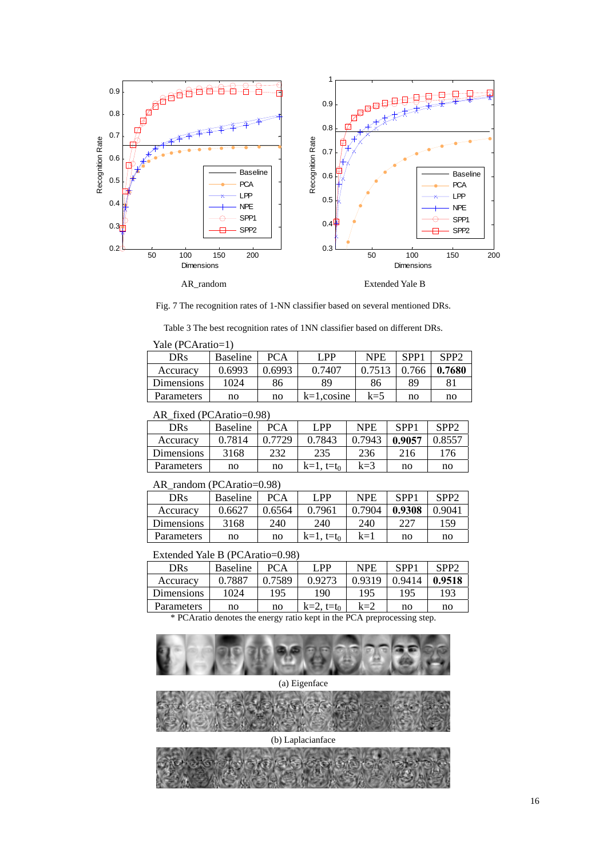

Fig. 7 The recognition rates of 1-NN classifier based on several mentioned DRs.

Table 3 The best recognition rates of 1NN classifier based on different DRs.

| Yale (PCAratio=1) |                 |            |               |            |                  |                  |  |  |  |
|-------------------|-----------------|------------|---------------|------------|------------------|------------------|--|--|--|
| <b>DRs</b>        | <b>Baseline</b> | <b>PCA</b> | LPP           | <b>NPE</b> | SPP <sub>1</sub> | SPP <sub>2</sub> |  |  |  |
| Accuracy          | 0.6993          | 0.6993     | 0.7407        | 0.7513     | 0.766            | 0.7680           |  |  |  |
| Dimensions        | 1024            | 86         | 89            | 86         | 89               | 81               |  |  |  |
| Parameters        | no              | no         | $k=1$ .cosine | $k=5$      | no               | no               |  |  |  |

## AR\_fixed (PCAratio=0.98)

| <b>DRs</b> | <b>Baseline</b> | <b>PCA</b> | LPP             | NPE    | SPP1   | SPP <sub>2</sub> |
|------------|-----------------|------------|-----------------|--------|--------|------------------|
| Accuracy   | 0.7814          | 0.7729     | 0.7843          | 0.7943 | 0.9057 | 0.8557           |
| Dimensions | 3168            | 232        | 235             | 236    | 216    | 176              |
| Parameters | no              | no         | $k=1$ , $t=t_0$ | $k=3$  | no     | no               |

## AR\_random (PCAratio=0.98)

| <b>DRs</b>        | <b>Baseline</b> | <b>PCA</b> | I PP            | <b>NPE</b> | SPP <sub>1</sub> | SPP2   |
|-------------------|-----------------|------------|-----------------|------------|------------------|--------|
| Accuracy          | 0.6627          | 0.6564     | 0.7961          | 0.7904     | 0.9308           | 0.9041 |
| Dimensions        | 3168            | 240        | 240             | 240        | 227              | 159    |
| <b>Parameters</b> | no              | no         | $k=1$ , $t=t_0$ | $k=1$      | no               | no     |

# Extended Yale B (PCAratio=0.98)

| DRs        | <b>Baseline</b> | <b>PCA</b> | I PP            | <b>NPE</b> | SPP <sub>1</sub> | SPP2   |
|------------|-----------------|------------|-----------------|------------|------------------|--------|
| Accuracy   | 0.7887          | 0.7589     | 0.9273          | 0.9319     | 0.9414           | 0.9518 |
| Dimensions | 1024            | 195        | 190             | 195        | 195              | 193    |
| Parameters | no              | no         | $k=2$ , $t=t_0$ | $k=2$      | no               | no     |

\* PCAratio denotes the energy ratio kept in the PCA preprocessing step.



(a) Eigenface



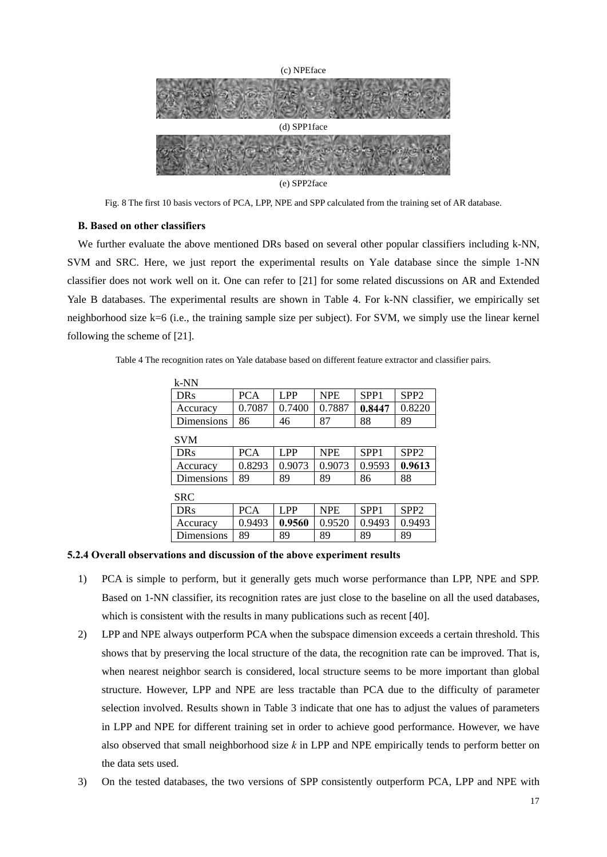

Fig. 8 The first 10 basis vectors of PCA, LPP, NPE and SPP calculated from the training set of AR database.

## **B. Based on other classifiers**

We further evaluate the above mentioned DRs based on several other popular classifiers including k-NN, SVM and SRC. Here, we just report the experimental results on Yale database since the simple 1-NN classifier does not work well on it. One can refer to [21] for some related discussions on AR and Extended Yale B databases. The experimental results are shown in Table 4. For k-NN classifier, we empirically set neighborhood size k=6 (i.e., the training sample size per subject). For SVM, we simply use the linear kernel following the scheme of [21].

Table 4 The recognition rates on Yale database based on different feature extractor and classifier pairs.

| $k-NN$     |            |                 |            |                  |                  |  |  |
|------------|------------|-----------------|------------|------------------|------------------|--|--|
| <b>DRs</b> | <b>PCA</b> | LPP             | <b>NPE</b> | SPP <sub>1</sub> | SPP <sub>2</sub> |  |  |
| Accuracy   | 0.7087     | 0.7400          | 0.7887     | 0.8447           | 0.8220           |  |  |
| Dimensions | 86         | 46              | 87         | 88               | 89               |  |  |
| <b>SVM</b> |            |                 |            |                  |                  |  |  |
| <b>DRs</b> | <b>PCA</b> | L <sub>PP</sub> | <b>NPE</b> | SPP <sub>1</sub> | SPP <sub>2</sub> |  |  |
| Accuracy   | 0.8293     | 0.9073          | 0.9073     | 0.9593           | 0.9613           |  |  |
| Dimensions | 89         | 89              | 89         | 86               | 88               |  |  |
| <b>SRC</b> |            |                 |            |                  |                  |  |  |
| <b>DRs</b> | <b>PCA</b> | LPP             | <b>NPE</b> | SPP <sub>1</sub> | SPP <sub>2</sub> |  |  |
| Accuracy   | 0.9493     | 0.9560          | 0.9520     | 0.9493           | 0.9493           |  |  |
| Dimensions | 89         | 89              | 89         | 89               | 89               |  |  |

## **5.2.4 Overall observations and discussion of the above experiment results**

- 1) PCA is simple to perform, but it generally gets much worse performance than LPP, NPE and SPP. Based on 1-NN classifier, its recognition rates are just close to the baseline on all the used databases, which is consistent with the results in many publications such as recent [40].
- 2) LPP and NPE always outperform PCA when the subspace dimension exceeds a certain threshold. This shows that by preserving the local structure of the data, the recognition rate can be improved. That is, when nearest neighbor search is considered, local structure seems to be more important than global structure. However, LPP and NPE are less tractable than PCA due to the difficulty of parameter selection involved. Results shown in Table 3 indicate that one has to adjust the values of parameters in LPP and NPE for different training set in order to achieve good performance. However, we have also observed that small neighborhood size *k* in LPP and NPE empirically tends to perform better on the data sets used.
- 3) On the tested databases, the two versions of SPP consistently outperform PCA, LPP and NPE with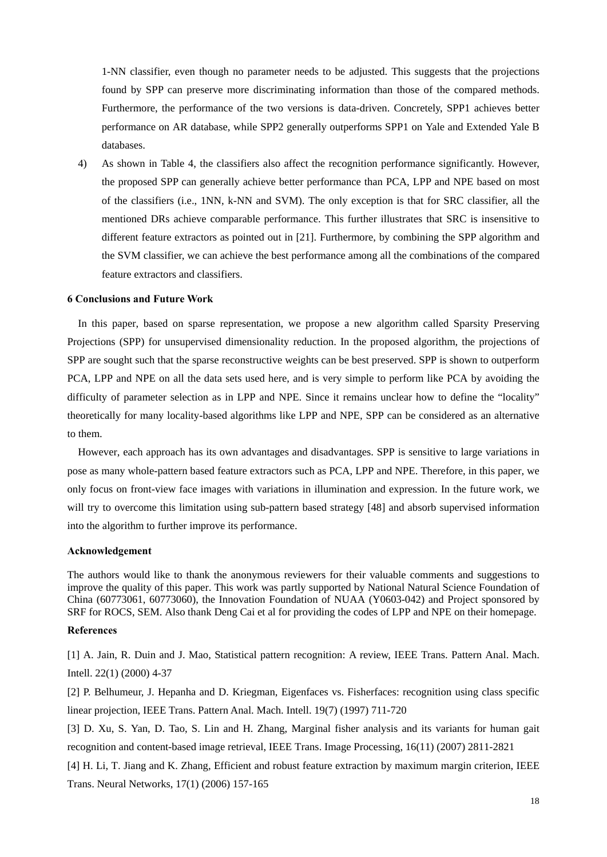1-NN classifier, even though no parameter needs to be adjusted. This suggests that the projections found by SPP can preserve more discriminating information than those of the compared methods. Furthermore, the performance of the two versions is data-driven. Concretely, SPP1 achieves better performance on AR database, while SPP2 generally outperforms SPP1 on Yale and Extended Yale B databases.

4) As shown in Table 4, the classifiers also affect the recognition performance significantly. However, the proposed SPP can generally achieve better performance than PCA, LPP and NPE based on most of the classifiers (i.e., 1NN, k-NN and SVM). The only exception is that for SRC classifier, all the mentioned DRs achieve comparable performance. This further illustrates that SRC is insensitive to different feature extractors as pointed out in [21]. Furthermore, by combining the SPP algorithm and the SVM classifier, we can achieve the best performance among all the combinations of the compared feature extractors and classifiers.

# **6 Conclusions and Future Work**

In this paper, based on sparse representation, we propose a new algorithm called Sparsity Preserving Projections (SPP) for unsupervised dimensionality reduction. In the proposed algorithm, the projections of SPP are sought such that the sparse reconstructive weights can be best preserved. SPP is shown to outperform PCA, LPP and NPE on all the data sets used here, and is very simple to perform like PCA by avoiding the difficulty of parameter selection as in LPP and NPE. Since it remains unclear how to define the "locality" theoretically for many locality-based algorithms like LPP and NPE, SPP can be considered as an alternative to them.

However, each approach has its own advantages and disadvantages. SPP is sensitive to large variations in pose as many whole-pattern based feature extractors such as PCA, LPP and NPE. Therefore, in this paper, we only focus on front-view face images with variations in illumination and expression. In the future work, we will try to overcome this limitation using sub-pattern based strategy [48] and absorb supervised information into the algorithm to further improve its performance.

## **Acknowledgement**

The authors would like to thank the anonymous reviewers for their valuable comments and suggestions to improve the quality of this paper. This work was partly supported by National Natural Science Foundation of China (60773061, 60773060), the Innovation Foundation of NUAA (Y0603-042) and Project sponsored by SRF for ROCS, SEM. Also thank Deng Cai et al for providing the codes of LPP and NPE on their homepage.

# **References**

[1] A. Jain, R. Duin and J. Mao, Statistical pattern recognition: A review, IEEE Trans. Pattern Anal. Mach. Intell. 22(1) (2000) 4-37

[2] P. Belhumeur, J. Hepanha and D. Kriegman, Eigenfaces vs. Fisherfaces: recognition using class specific linear projection, IEEE Trans. Pattern Anal. Mach. Intell. 19(7) (1997) 711-720

[3] D. Xu, S. Yan, D. Tao, S. Lin and H. Zhang, Marginal fisher analysis and its variants for human gait recognition and content-based image retrieval, IEEE Trans. Image Processing, 16(11) (2007) 2811-2821

[4] H. Li, T. Jiang and K. Zhang, Efficient and robust feature extraction by maximum margin criterion, IEEE Trans. Neural Networks, 17(1) (2006) 157-165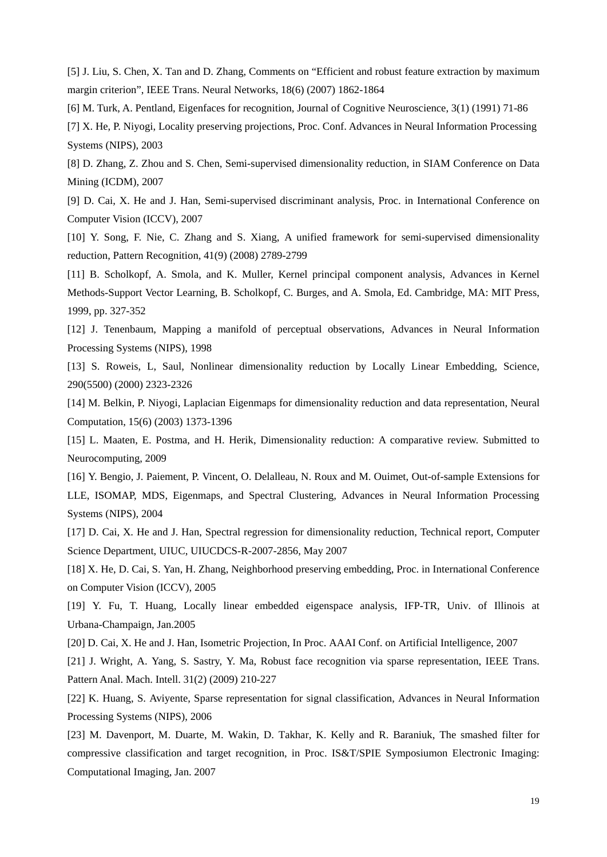[5] J. Liu, S. Chen, X. Tan and D. Zhang, Comments on "Efficient and robust feature extraction by maximum margin criterion", IEEE Trans. Neural Networks, 18(6) (2007) 1862-1864

[6] M. Turk, A. Pentland, Eigenfaces for recognition, Journal of Cognitive Neuroscience, 3(1) (1991) 71-86

[7] X. He, P. Niyogi, Locality preserving projections, Proc. Conf. Advances in Neural Information Processing Systems (NIPS), 2003

[8] D. Zhang, Z. Zhou and S. Chen, Semi-supervised dimensionality reduction, in SIAM Conference on Data Mining (ICDM), 2007

[9] D. Cai, X. He and J. Han, Semi-supervised discriminant analysis, Proc. in International Conference on Computer Vision (ICCV), 2007

[10] Y. Song, F. Nie, C. Zhang and S. Xiang, A unified framework for semi-supervised dimensionality reduction, Pattern Recognition, 41(9) (2008) 2789-2799

[11] B. Scholkopf, A. Smola, and K. Muller, Kernel principal component analysis, Advances in Kernel Methods-Support Vector Learning, B. Scholkopf, C. Burges, and A. Smola, Ed. Cambridge, MA: MIT Press, 1999, pp. 327-352

[12] J. Tenenbaum, Mapping a manifold of perceptual observations, Advances in Neural Information Processing Systems (NIPS), 1998

[13] S. Roweis, L, Saul, Nonlinear dimensionality reduction by Locally Linear Embedding, Science, 290(5500) (2000) 2323-2326

[14] M. Belkin, P. Niyogi, Laplacian Eigenmaps for dimensionality reduction and data representation, Neural Computation, 15(6) (2003) 1373-1396

[15] L. Maaten, E. Postma, and H. Herik, Dimensionality reduction: A comparative review. Submitted to Neurocomputing, 2009

[16] Y. Bengio, J. Paiement, P. Vincent, O. Delalleau, N. Roux and M. Ouimet, Out-of-sample Extensions for LLE, ISOMAP, MDS, Eigenmaps, and Spectral Clustering, Advances in Neural Information Processing Systems (NIPS), 2004

[17] D. Cai, X. He and J. Han, Spectral regression for dimensionality reduction, Technical report, Computer Science Department, UIUC, UIUCDCS-R-2007-2856, May 2007

[18] X. He, D. Cai, S. Yan, H. Zhang, Neighborhood preserving embedding, Proc. in International Conference on Computer Vision (ICCV), 2005

[19] Y. Fu, T. Huang, Locally linear embedded eigenspace analysis, IFP-TR, Univ. of Illinois at Urbana-Champaign, Jan.2005

[20] D. Cai, X. He and J. Han, Isometric Projection, In Proc. AAAI Conf. on Artificial Intelligence, 2007

[21] J. Wright, A. Yang, S. Sastry, Y. Ma, Robust face recognition via sparse representation, IEEE Trans. Pattern Anal. Mach. Intell. 31(2) (2009) 210-227

[22] K. Huang, S. Aviyente, Sparse representation for signal classification, Advances in Neural Information Processing Systems (NIPS), 2006

[23] M. Davenport, M. Duarte, M. Wakin, D. Takhar, K. Kelly and R. Baraniuk, The smashed filter for compressive classification and target recognition, in Proc. IS&T/SPIE Symposiumon Electronic Imaging: Computational Imaging, Jan. 2007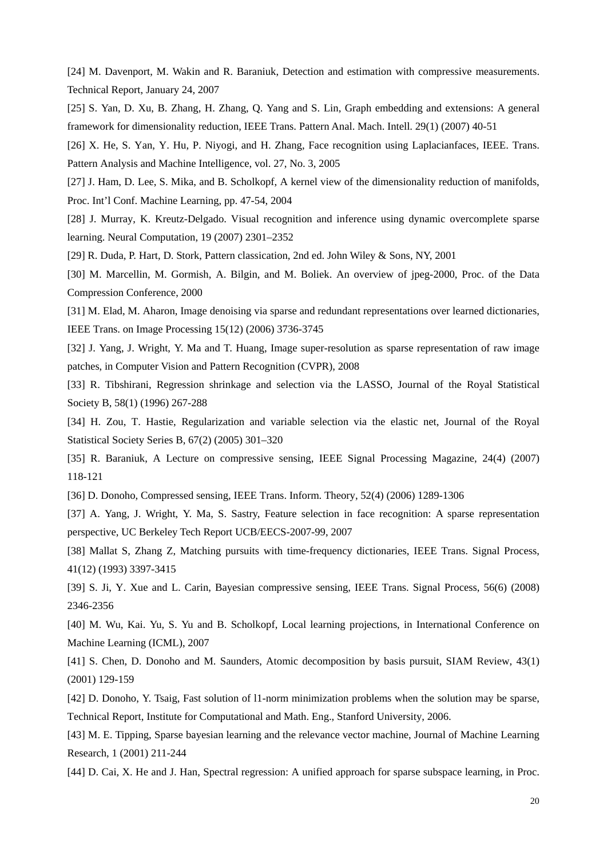[24] M. Davenport, M. Wakin and R. Baraniuk, Detection and estimation with compressive measurements. Technical Report, January 24, 2007

[25] S. Yan, D. Xu, B. Zhang, H. Zhang, Q. Yang and S. Lin, Graph embedding and extensions: A general framework for dimensionality reduction, IEEE Trans. Pattern Anal. Mach. Intell. 29(1) (2007) 40-51

[26] X. He, S. Yan, Y. Hu, P. Niyogi, and H. Zhang, Face recognition using Laplacianfaces, IEEE. Trans. Pattern Analysis and Machine Intelligence, vol. 27, No. 3, 2005

[27] J. Ham, D. Lee, S. Mika, and B. Scholkopf, A kernel view of the dimensionality reduction of manifolds, Proc. Int'l Conf. Machine Learning, pp. 47-54, 2004

[28] J. Murray, K. Kreutz-Delgado. Visual recognition and inference using dynamic overcomplete sparse learning. Neural Computation, 19 (2007) 2301–2352

[29] R. Duda, P. Hart, D. Stork, Pattern classication, 2nd ed. John Wiley & Sons, NY, 2001

[30] M. Marcellin, M. Gormish, A. Bilgin, and M. Boliek. An overview of jpeg-2000, Proc. of the Data Compression Conference, 2000

[31] M. Elad, M. Aharon, Image denoising via sparse and redundant representations over learned dictionaries, IEEE Trans. on Image Processing 15(12) (2006) 3736-3745

[32] J. Yang, J. Wright, Y. Ma and T. Huang, Image super-resolution as sparse representation of raw image patches, in Computer Vision and Pattern Recognition (CVPR), 2008

[33] R. Tibshirani, Regression shrinkage and selection via the LASSO, Journal of the Royal Statistical Society B, 58(1) (1996) 267-288

[34] H. Zou, T. Hastie, Regularization and variable selection via the elastic net, Journal of the Royal Statistical Society Series B, 67(2) (2005) 301–320

[35] R. Baraniuk, A Lecture on compressive sensing, IEEE Signal Processing Magazine, 24(4) (2007) 118-121

[36] D. Donoho, Compressed sensing, IEEE Trans. Inform. Theory, 52(4) (2006) 1289-1306

[37] A. Yang, J. Wright, Y. Ma, S. Sastry, Feature selection in face recognition: A sparse representation perspective, UC Berkeley Tech Report UCB/EECS-2007-99, 2007

[38] Mallat S, Zhang Z, Matching pursuits with time-frequency dictionaries, IEEE Trans. Signal Process, 41(12) (1993) 3397-3415

[39] S. Ji, Y. Xue and L. Carin, Bayesian compressive sensing, IEEE Trans. Signal Process, 56(6) (2008) 2346-2356

[40] M. Wu, Kai. Yu, S. Yu and B. Scholkopf, Local learning projections, in International Conference on Machine Learning (ICML), 2007

[41] S. Chen, D. Donoho and M. Saunders, Atomic decomposition by basis pursuit, SIAM Review, 43(1) (2001) 129-159

[42] D. Donoho, Y. Tsaig, Fast solution of l1-norm minimization problems when the solution may be sparse, Technical Report, Institute for Computational and Math. Eng., Stanford University, 2006.

[43] M. E. Tipping, Sparse bayesian learning and the relevance vector machine, Journal of Machine Learning Research, 1 (2001) 211-244

[44] D. Cai, X. He and J. Han, Spectral regression: A unified approach for sparse subspace learning, in Proc.